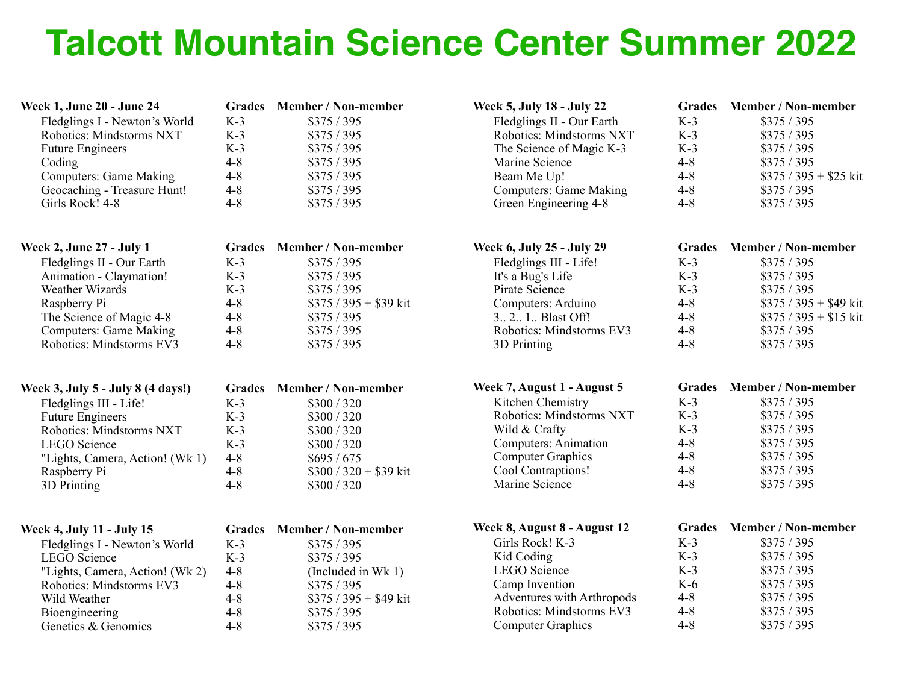## **Talcott Mountain Science Center Summer 2022**

| <b>Week 1, June 20 - June 24</b><br>Fledglings I - Newton's World<br>Robotics: Mindstorms NXT<br><b>Future Engineers</b><br>Coding<br><b>Computers: Game Making</b><br>Geocaching - Treasure Hunt!<br>Girls Rock! 4-8 | $K-3$<br>$K-3$<br>$K-3$<br>$4 - 8$<br>$4 - 8$<br>$4 - 8$<br>$4 - 8$ | Grades Member / Non-member<br>\$375/395<br>\$375/395<br>\$375/395<br>\$375/395<br>\$375/395<br>\$375/395<br>\$375/395 | Week 5, July 18 - July 22<br>Fledglings II - Our Earth<br>Robotics: Mindstorms NXT<br>The Science of Magic K-3<br>Marine Science<br>Beam Me Up!<br><b>Computers: Game Making</b><br>Green Engineering 4-8 | $K-3$<br>$K-3$<br>$K-3$<br>$4 - 8$<br>$4 - 8$<br>$4 - 8$<br>$4 - 8$ | Grades Member / Non-member<br>\$375/395<br>\$375/395<br>\$375/395<br>\$375/395<br>$$375 / 395 + $25$ kit<br>\$375/395<br>\$375/395 |
|-----------------------------------------------------------------------------------------------------------------------------------------------------------------------------------------------------------------------|---------------------------------------------------------------------|-----------------------------------------------------------------------------------------------------------------------|-----------------------------------------------------------------------------------------------------------------------------------------------------------------------------------------------------------|---------------------------------------------------------------------|------------------------------------------------------------------------------------------------------------------------------------|
| <b>Week 2, June 27 - July 1</b>                                                                                                                                                                                       | <b>Grades</b>                                                       | <b>Member / Non-member</b>                                                                                            | Week 6, July 25 - July 29                                                                                                                                                                                 | <b>Grades</b>                                                       | Member / Non-member                                                                                                                |
| Fledglings II - Our Earth                                                                                                                                                                                             | $K-3$                                                               | \$375/395                                                                                                             | Fledglings III - Life!                                                                                                                                                                                    | $K-3$                                                               | \$375/395                                                                                                                          |
| Animation - Claymation!                                                                                                                                                                                               | $K-3$                                                               | \$375/395                                                                                                             | It's a Bug's Life                                                                                                                                                                                         | $K-3$                                                               | \$375/395                                                                                                                          |
| Weather Wizards                                                                                                                                                                                                       | $K-3$                                                               | \$375/395                                                                                                             | Pirate Science                                                                                                                                                                                            | $K-3$                                                               | \$375/395                                                                                                                          |
| Raspberry Pi                                                                                                                                                                                                          | $4 - 8$                                                             | $$375 / 395 + $39$ kit                                                                                                | Computers: Arduino                                                                                                                                                                                        | $4 - 8$                                                             | $$375 / 395 + $49$ kit                                                                                                             |
| The Science of Magic 4-8                                                                                                                                                                                              | $4 - 8$                                                             | \$375/395                                                                                                             | 3 2. 1. Blast Off!                                                                                                                                                                                        | $4 - 8$                                                             | $$375 / 395 + $15$ kit                                                                                                             |
| <b>Computers: Game Making</b>                                                                                                                                                                                         | $4 - 8$                                                             | \$375/395                                                                                                             | Robotics: Mindstorms EV3                                                                                                                                                                                  | $4 - 8$                                                             | \$375/395                                                                                                                          |
| Robotics: Mindstorms EV3                                                                                                                                                                                              | $4 - 8$                                                             | \$375/395                                                                                                             | 3D Printing                                                                                                                                                                                               | $4 - 8$                                                             | \$375/395                                                                                                                          |
| Week 3, July 5 - July 8 (4 days!)                                                                                                                                                                                     | <b>Grades</b>                                                       | Member / Non-member                                                                                                   | Week 7, August 1 - August 5                                                                                                                                                                               | <b>Grades</b>                                                       | Member / Non-member                                                                                                                |
| Fledglings III - Life!                                                                                                                                                                                                | $K-3$                                                               | \$300 / 320                                                                                                           | Kitchen Chemistry                                                                                                                                                                                         | $K-3$                                                               | \$375/395                                                                                                                          |
| <b>Future Engineers</b>                                                                                                                                                                                               | $K-3$                                                               | \$300 / 320                                                                                                           | Robotics: Mindstorms NXT                                                                                                                                                                                  | $K-3$                                                               | \$375/395                                                                                                                          |
| Robotics: Mindstorms NXT                                                                                                                                                                                              | $K-3$                                                               | \$300 / 320                                                                                                           | Wild & Crafty                                                                                                                                                                                             | $K-3$                                                               | \$375/395                                                                                                                          |
| <b>LEGO</b> Science                                                                                                                                                                                                   | $K-3$                                                               | \$300 / 320                                                                                                           | Computers: Animation                                                                                                                                                                                      | $4 - 8$                                                             | \$375/395                                                                                                                          |
| "Lights, Camera, Action! (Wk 1)                                                                                                                                                                                       | $4 - 8$                                                             | \$695/675                                                                                                             | <b>Computer Graphics</b>                                                                                                                                                                                  | $4 - 8$                                                             | \$375/395                                                                                                                          |
| Raspberry Pi                                                                                                                                                                                                          | $4 - 8$                                                             | $$300 / 320 + $39$ kit                                                                                                | Cool Contraptions!                                                                                                                                                                                        | $4 - 8$                                                             | \$375/395                                                                                                                          |
| 3D Printing                                                                                                                                                                                                           | $4 - 8$                                                             | \$300/320                                                                                                             | Marine Science                                                                                                                                                                                            | $4 - 8$                                                             | \$375/395                                                                                                                          |
| <b>Week 4, July 11 - July 15</b>                                                                                                                                                                                      | <b>Grades</b>                                                       | <b>Member / Non-member</b>                                                                                            | Week 8, August 8 - August 12                                                                                                                                                                              | <b>Grades</b>                                                       | Member / Non-member                                                                                                                |
| Fledglings I - Newton's World                                                                                                                                                                                         | $K-3$                                                               | \$375/395                                                                                                             | Girls Rock! K-3                                                                                                                                                                                           | $K-3$                                                               | \$375/395                                                                                                                          |
| <b>LEGO</b> Science                                                                                                                                                                                                   | $K-3$                                                               | \$375/395                                                                                                             | Kid Coding                                                                                                                                                                                                | $K-3$                                                               | \$375/395                                                                                                                          |
| "Lights, Camera, Action! (Wk 2)                                                                                                                                                                                       | $4 - 8$                                                             | (Included in Wk 1)                                                                                                    | LEGO Science                                                                                                                                                                                              | $K-3$                                                               | \$375/395                                                                                                                          |
| Robotics: Mindstorms EV3                                                                                                                                                                                              | $4 - 8$                                                             | \$375 / 395                                                                                                           | Camp Invention                                                                                                                                                                                            | $K-6$                                                               | \$375/395                                                                                                                          |
| Wild Weather                                                                                                                                                                                                          | $4 - 8$                                                             | $$375 / 395 + $49$ kit                                                                                                | Adventures with Arthropods                                                                                                                                                                                | $4 - 8$                                                             | \$375/395                                                                                                                          |
| Bioengineering                                                                                                                                                                                                        | $4 - 8$                                                             | \$375/395                                                                                                             | Robotics: Mindstorms EV3                                                                                                                                                                                  | $4 - 8$                                                             | \$375/395                                                                                                                          |
| Genetics & Genomics                                                                                                                                                                                                   | $4 - 8$                                                             | \$375/395                                                                                                             | <b>Computer Graphics</b>                                                                                                                                                                                  | $4 - 8$                                                             | \$375/395                                                                                                                          |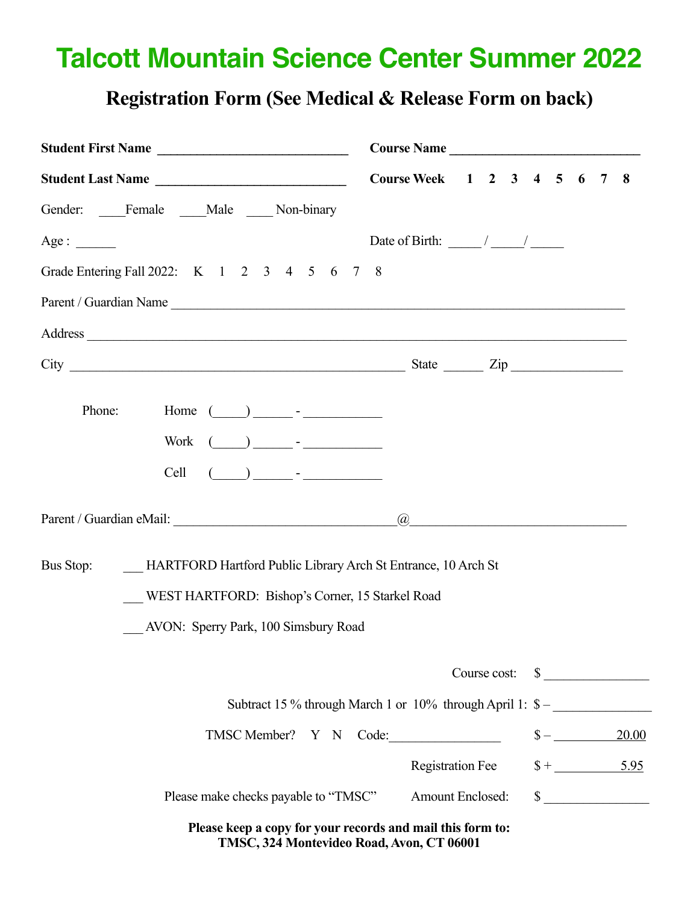## **Talcott Mountain Science Center Summer 2022**

## **Registration Form (See Medical & Release Form on back)**

| Student First Name                                                                                                                                                                                                                                                 | Course Name                                                             |  |  |  |                                       |  |  |
|--------------------------------------------------------------------------------------------------------------------------------------------------------------------------------------------------------------------------------------------------------------------|-------------------------------------------------------------------------|--|--|--|---------------------------------------|--|--|
| Student Last Name                                                                                                                                                                                                                                                  | Course Week 1 2 3 4 5 6                                                 |  |  |  | 7 8                                   |  |  |
| Gender: Female Male Mon-binary                                                                                                                                                                                                                                     |                                                                         |  |  |  |                                       |  |  |
| Age:                                                                                                                                                                                                                                                               | Date of Birth: $\frac{\sqrt{2}}{2}$                                     |  |  |  |                                       |  |  |
| Grade Entering Fall 2022: K 1 2 3 4 5 6 7 8                                                                                                                                                                                                                        |                                                                         |  |  |  |                                       |  |  |
| Parent / Guardian Name                                                                                                                                                                                                                                             |                                                                         |  |  |  |                                       |  |  |
| Address                                                                                                                                                                                                                                                            |                                                                         |  |  |  |                                       |  |  |
|                                                                                                                                                                                                                                                                    |                                                                         |  |  |  |                                       |  |  |
| Phone:<br>Home $(\_\_\_\_\_\$ -<br>$\begin{pmatrix} 1 & 1 \\ 1 & 1 \end{pmatrix}$<br>Cell<br>Bus Stop:<br>HARTFORD Hartford Public Library Arch St Entrance, 10 Arch St<br>WEST HARTFORD: Bishop's Corner, 15 Starkel Road<br>AVON: Sperry Park, 100 Simsbury Road | $\omega$<br><u> 1980 - Jan Barnett, martin de filosofoar (h. 1980).</u> |  |  |  |                                       |  |  |
|                                                                                                                                                                                                                                                                    |                                                                         |  |  |  |                                       |  |  |
|                                                                                                                                                                                                                                                                    |                                                                         |  |  |  | Course cost: \$                       |  |  |
| Subtract 15 % through March 1 or 10% through April 1: \$ –                                                                                                                                                                                                         |                                                                         |  |  |  |                                       |  |  |
| TMSC Member? Y N Code:                                                                                                                                                                                                                                             | <b>Registration Fee</b>                                                 |  |  |  | 20.00<br>$\frac{\$ + \_5.95}{\_5.95}$ |  |  |
| Please make checks payable to "TMSC"                                                                                                                                                                                                                               | <b>Amount Enclosed:</b>                                                 |  |  |  | $\sim$                                |  |  |
| Please keep a copy for your records and mail this form to:                                                                                                                                                                                                         |                                                                         |  |  |  |                                       |  |  |

**TMSC, 324 Montevideo Road, Avon, CT 06001**